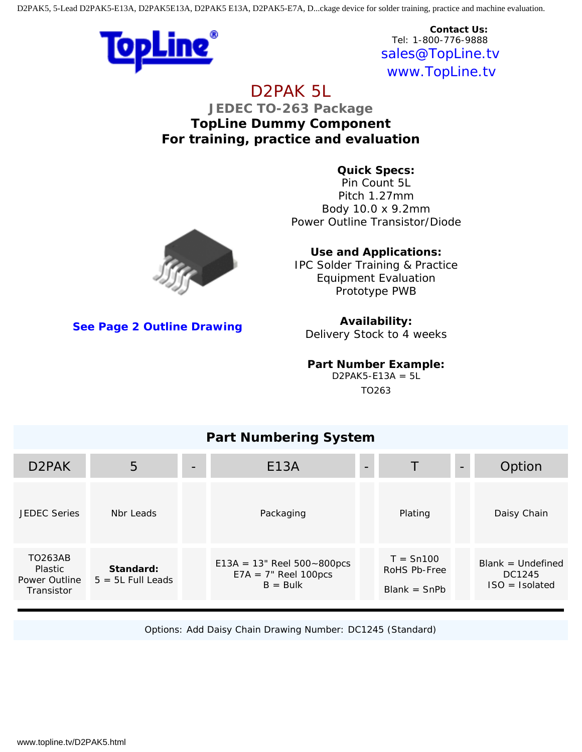D2PAK5, 5-Lead D2PAK5-E13A, D2PAK5E13A, D2PAK5 E13A, D2PAK5-E7A, D...ckage device for solder training, practice and machine evaluation.



**Contact Us:** Tel: 1-800-776-9888 [sales@TopLine.t](mailto:sales@topline.tv)v [www.TopLine.tv](http://www.topline.tv/)

# D2PAK 5L

**JEDEC TO-263 Package TopLine Dummy Component For training, practice and evaluation**

> **Quick Specs:** Pin Count 5L Pitch 1.27mm Body 10.0 x 9.2mm Power Outline Transistor/Diode



IPC Solder Training & Practice Equipment Evaluation Prototype PWB



**Contractor** 

**Availability:**

Delivery Stock to 4 weeks

### **Part Number Example:**

 $D2PAK5-E13A = 5L$ TO263

## **Part Numbering System**

| D <sub>2</sub> PAK                                                            | $\overline{5}$                   | E13A                                                                           | $\overline{\phantom{a}}$ | T                                             | $\qquad \qquad -$ | Option                                            |
|-------------------------------------------------------------------------------|----------------------------------|--------------------------------------------------------------------------------|--------------------------|-----------------------------------------------|-------------------|---------------------------------------------------|
| <b>JEDEC Series</b>                                                           | Nbr Leads                        | Packaging                                                                      |                          | Plating                                       |                   | Daisy Chain                                       |
| <b>TO263AB</b><br><b>Plastic</b><br><b>Power Outline</b><br><b>Transistor</b> | Standard:<br>$5 = 5L$ Full Leads | $E13A = 13$ " Reel $500 \sim 800$ pcs<br>$E7A = 7$ " Reel 100pcs<br>$B = Bulk$ |                          | $T = Sn100$<br>RoHS Pb-Free<br>$Blank = ShPb$ |                   | $Blank = Undefined$<br>DC1245<br>$ISO = Isolated$ |

Options: Add Daisy Chain Drawing Number: DC1245 (Standard)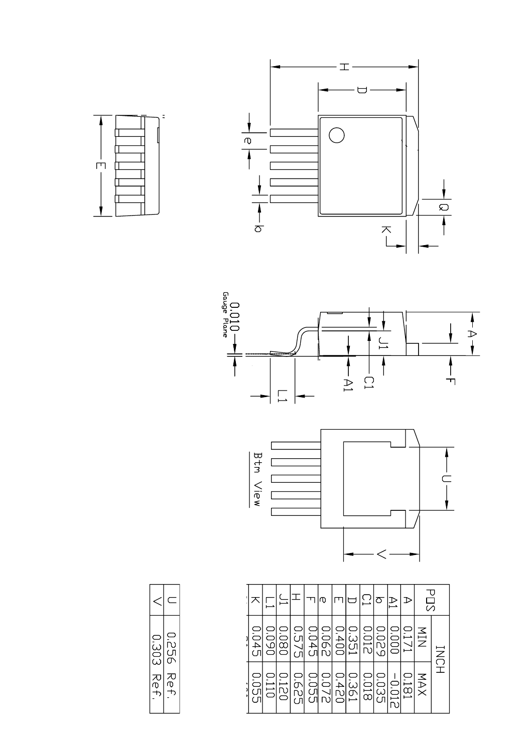







|         |            |                              |          |                    | ⁄ზ    |       |                  |       | ਨ          |      |      | あ          | Π                 |
|---------|------------|------------------------------|----------|--------------------|-------|-------|------------------|-------|------------|------|------|------------|-------------------|
| 0.045   | 0.091<br>⌒ | $\frac{1}{10}$<br>$\bigcirc$ | ات<br>Ľ. | $\overline{0.045}$ | 0.06  | 0.400 | ⊂<br><b>1951</b> | 0.012 | ⊂<br>950.0 | 000' | 117  | MIN<br>N   | $\overline{\leq}$ |
| й<br>Сп | 1110       | 1720                         | 0.625    | <b>Q.055</b>       | 220'0 | 0.420 | 0.361            | 0.018 | 0.035      | 0.01 | 1810 | <b>NAX</b> | .<br>ד            |

| 0.303         | ロこのの |
|---------------|------|
| ての            | スの   |
| $\frac{1}{2}$ | ゎ    |